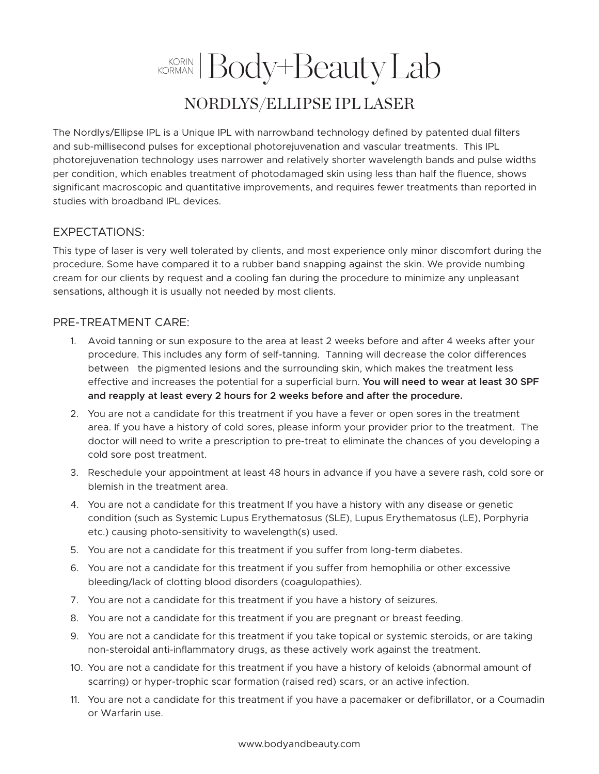## KORIAN Body+Beauty Lab NORDLYS/ELLIPSE IPL LASER

The Nordlys/Ellipse IPL is a Unique IPL with narrowband technology defined by patented dual filters and sub-millisecond pulses for exceptional photorejuvenation and vascular treatments. This IPL photorejuvenation technology uses narrower and relatively shorter wavelength bands and pulse widths per condition, which enables treatment of photodamaged skin using less than half the fluence, shows significant macroscopic and quantitative improvements, and requires fewer treatments than reported in studies with broadband IPL devices.

## EXPECTATIONS:

This type of laser is very well tolerated by clients, and most experience only minor discomfort during the procedure. Some have compared it to a rubber band snapping against the skin. We provide numbing cream for our clients by request and a cooling fan during the procedure to minimize any unpleasant sensations, although it is usually not needed by most clients.

## PRE-TREATMENT CARE:

- 1. Avoid tanning or sun exposure to the area at least 2 weeks before and after 4 weeks after your procedure. This includes any form of self-tanning. Tanning will decrease the color differences between the pigmented lesions and the surrounding skin, which makes the treatment less effective and increases the potential for a superficial burn. **You will need to wear at least 30 SPF and reapply at least every 2 hours for 2 weeks before and after the procedure.**
- 2. You are not a candidate for this treatment if you have a fever or open sores in the treatment area. If you have a history of cold sores, please inform your provider prior to the treatment. The doctor will need to write a prescription to pre-treat to eliminate the chances of you developing a cold sore post treatment.
- 3. Reschedule your appointment at least 48 hours in advance if you have a severe rash, cold sore or blemish in the treatment area.
- 4. You are not a candidate for this treatment If you have a history with any disease or genetic condition (such as Systemic Lupus Erythematosus (SLE), Lupus Erythematosus (LE), Porphyria etc.) causing photo-sensitivity to wavelength(s) used.
- 5. You are not a candidate for this treatment if you suffer from long-term diabetes.
- 6. You are not a candidate for this treatment if you suffer from hemophilia or other excessive bleeding/lack of clotting blood disorders (coagulopathies).
- 7. You are not a candidate for this treatment if you have a history of seizures.
- 8. You are not a candidate for this treatment if you are pregnant or breast feeding.
- 9. You are not a candidate for this treatment if you take topical or systemic steroids, or are taking non-steroidal anti-inflammatory drugs, as these actively work against the treatment.
- 10. You are not a candidate for this treatment if you have a history of keloids (abnormal amount of scarring) or hyper-trophic scar formation (raised red) scars, or an active infection.
- 11. You are not a candidate for this treatment if you have a pacemaker or defibrillator, or a Coumadin or Warfarin use.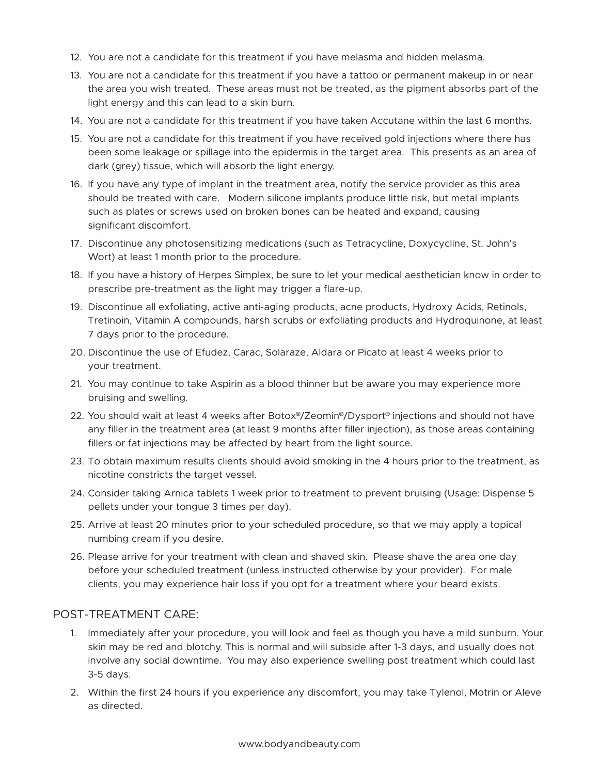- 12. You are not a candidate for this treatment if you have melasma and hidden melasma.
- 13. You are not a candidate for this treatment if you have a tattoo or permanent makeup in or near the area you wish treated. These areas must not be treated, as the pigment absorbs part of the light energy and this can lead to a skin burn.
- 14. You are not a candidate for this treatment if you have taken Accutane within the last 6 months.
- 15. You are not a candidate for this treatment if you have received gold injections where there has been some leakage or spillage into the epidermis in the target area. This presents as an area of dark (grey) tissue, which will absorb the light energy.
- 16. If you have any type of implant in the treatment area, notify the service provider as this area should be treated with care. Modern silicone implants produce little risk, but metal implants such as plates or screws used on broken bones can be heated and expand, causing significant discomfort.
- 17. Discontinue any photosensitizing medications (such as Tetracycline, Doxycycline, St. John's Wort) at least 1 month prior to the procedure.
- 18. If you have a history of Herpes Simplex, be sure to let your medical aesthetician know in order to prescribe pre-treatment as the light may trigger a flare-up.
- 19. Discontinue all exfoliating, active anti-aging products, acne products, Hydroxy Acids, Retinols, Tretinoin, Vitamin A compounds, harsh scrubs or exfoliating products and Hydroquinone, at least 7 days prior to the procedure.
- 20. Discontinue the use of Efudez, Carac, Solaraze, Aldara or Picato at least 4 weeks prior to your treatment.
- 21. You may continue to take Aspirin as a blood thinner but be aware you may experience more bruising and swelling.
- 22. You should wait at least 4 weeks after Botox<sup>®</sup>/Zeomin<sup>®</sup>/Dysport<sup>®</sup> injections and should not have any filler in the treatment area (at least 9 months after filler injection), as those areas containing fillers or fat injections may be affected by heart from the light source.
- 23. To obtain maximum results clients should avoid smoking in the 4 hours prior to the treatment, as nicotine constricts the target vessel.
- 24. Consider taking Arnica tablets 1 week prior to treatment to prevent bruising (Usage: Dispense 5 pellets under your tongue 3 times per day).
- 25. Arrive at least 20 minutes prior to your scheduled procedure, so that we may apply a topical numbing cream if you desire.
- 26. Please arrive for your treatment with clean and shaved skin. Please shave the area one day before your scheduled treatment (unless instructed otherwise by your provider). For male clients, you may experience hair loss if you opt for a treatment where your beard exists.

## POST-TREATMENT CARE:

- 1. Immediately after your procedure, you will look and feel as though you have a mild sunburn. Your skin may be red and blotchy. This is normal and will subside after 1-3 days, and usually does not involve any social downtime. You may also experience swelling post treatment which could last 3-5 days.
- 2. Within the first 24 hours if you experience any discomfort, you may take Tylenol, Motrin or Aleve as directed.